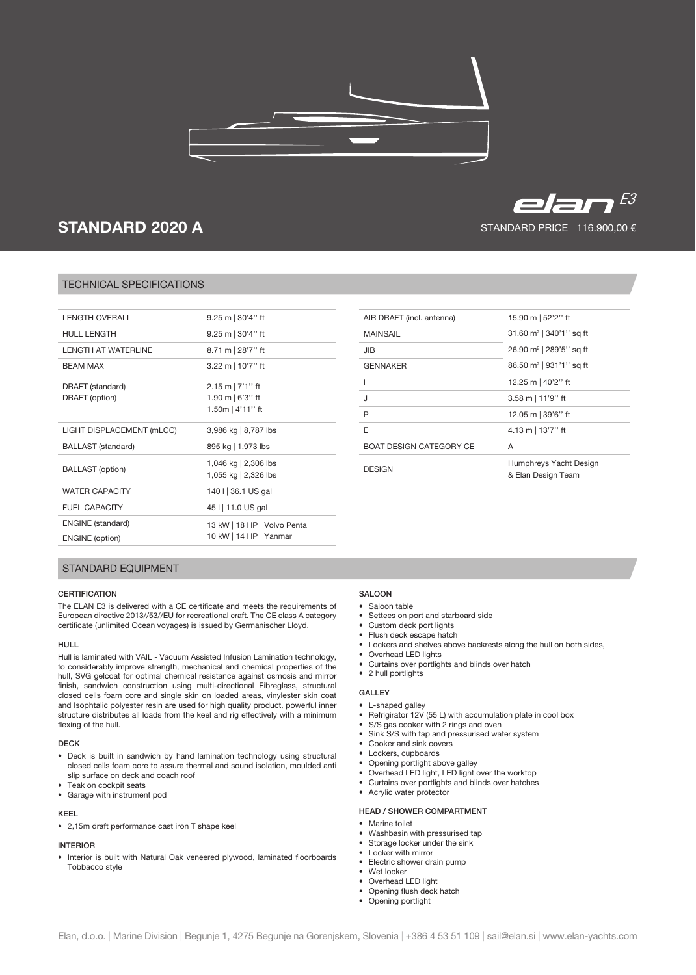

# **STANDARD 2020 A**

# $E=FT$ STANDARD PRICE 116.900,00 €

# TECHNICAL SPECIFICATIONS

| I FNGTH OVFRALL                                    | $9.25 \text{ m}$   30'4" ft                                             |
|----------------------------------------------------|-------------------------------------------------------------------------|
| <b>HULL LENGTH</b>                                 | $9.25 \text{ m}$   30'4" ft                                             |
| I FNGTH AT WATFRI INF                              | 8.71 m   28'7" ft                                                       |
| <b>BFAM MAX</b>                                    | 3.22 m   10'7" ft                                                       |
| DRAFT (standard)<br>DRAFT (option)                 | $2.15 \text{ m}$   7'1" ft<br>1.90 m $\mid$ 6'3" ft<br>1.50m   4'11" ft |
| LIGHT DISPLACEMENT (mLCC)                          | 3,986 kg   8,787 lbs                                                    |
| <b>BALLAST</b> (standard)                          | 895 kg   1,973 lbs                                                      |
| <b>BALLAST</b> (option)                            | 1,046 kg   2,306 lbs<br>1,055 kg   2,326 lbs                            |
| <b>WATER CAPACITY</b>                              | 140 I 36.1 US gal                                                       |
| FUEL CAPACITY                                      | 45 I   11.0 US gal                                                      |
| <b>ENGINE</b> (standard)<br><b>ENGINE</b> (option) | 13 kW   18 HP Volvo Penta<br>10 kW   14 HP Yanmar                       |
|                                                    |                                                                         |

| 15.90 m   52'2" ft                           |
|----------------------------------------------|
| 31.60 $m^2$   340'1" sq ft                   |
| 26.90 m <sup>2</sup>   289'5" sq ft          |
| 86.50 m <sup>2</sup>   931'1" sq ft          |
| 12.25 m   40'2" ft                           |
| 3.58 m   11'9" ft                            |
| 12.05 m   39'6" ft                           |
| 4.13 m   13'7" ft                            |
| A                                            |
| Humphreys Yacht Design<br>& Elan Design Team |
|                                              |

# STANDARD EQUIPMENT

# **CERTIFICATION**

The ELAN E3 is delivered with a CE certificate and meets the requirements of European directive 2013//53//EU for recreational craft. The CE class A category certificate (unlimited Ocean voyages) is issued by Germanischer Lloyd.

#### HULL

Hull is laminated with VAIL - Vacuum Assisted Infusion Lamination technology, to considerably improve strength, mechanical and chemical properties of the hull, SVG gelcoat for optimal chemical resistance against osmosis and mirror finish, sandwich construction using multi-directional Fibreglass, structural closed cells foam core and single skin on loaded areas, vinylester skin coat and Isophtalic polyester resin are used for high quality product, powerful inner structure distributes all loads from the keel and rig effectively with a minimum flexing of the hull.

## DECK

- Deck is built in sandwich by hand lamination technology using structural closed cells foam core to assure thermal and sound isolation, moulded anti slip surface on deck and coach roof
- Teak on cockpit seats
- • Garage with instrument pod

## KEEL

• 2,15m draft performance cast iron T shape keel

# INTERIOR

• Interior is built with Natural Oak veneered plywood, laminated floorboards Tobbacco style

# SALOON

- • Saloon table
- • Settees on port and starboard side
- • Custom deck port lights
- • Flush deck escape hatch
- Lockers and shelves above backrests along the hull on both sides,
- • Overhead LED lights
- • Curtains over portlights and blinds over hatch • 2 hull portlights

## GALLEY

- L-shaped galley
- Refrigirator 12V (55 L) with accumulation plate in cool box
- S/S gas cooker with 2 rings and oven
- Sink S/S with tap and pressurised water system
- Cooker and sink covers
- • Lockers, cupboards
- • Opening portlight above galley
- • Overhead LED light, LED light over the worktop
- Curtains over portlights and blinds over hatches
- • Acrylic water protector

## HEAD / SHOWER COMPARTMENT

- Marine toilet
- Washbasin with pressurised tap
- Storage locker under the sink
- Locker with mirror
- • Electric shower drain pump
- Wet locker • Overhead LED light
- Opening flush deck hatch
- • Opening portlight
-